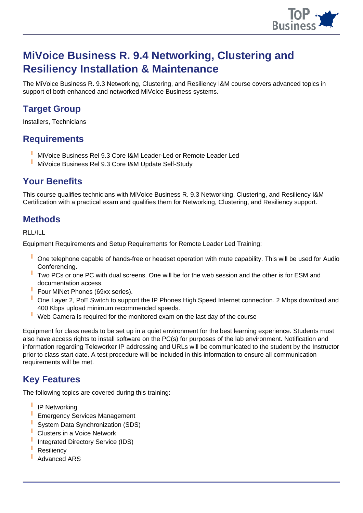

# **MiVoice Business R. 9.4 Networking, Clustering and Resiliency Installation & Maintenance**

The MiVoice Business R. 9.3 Networking, Clustering, and Resiliency I&M course covers advanced topics in support of both enhanced and networked MiVoice Business systems.

# **Target Group**

Installers, Technicians

## **Requirements**

- **I** MiVoice Business Rel 9.3 Core I&M Leader-Led or Remote Leader Led
- **I** MiVoice Business Rel 9.3 Core I&M Update Self-Study

## **Your Benefits**

This course qualifies technicians with MiVoice Business R. 9.3 Networking, Clustering, and Resiliency I&M Certification with a practical exam and qualifies them for Networking, Clustering, and Resiliency support.

#### **Methods**

RLL/ILL

Equipment Requirements and Setup Requirements for Remote Leader Led Training:

- **I** One telephone capable of hands-free or headset operation with mute capability. This will be used for Audio Conferencing.
- **I** Two PCs or one PC with dual screens. One will be for the web session and the other is for ESM and documentation access.
- **I** Four MiNet Phones (69xx series).
- **I** One Layer 2, PoE Switch to support the IP Phones High Speed Internet connection. 2 Mbps download and 400 Kbps upload minimum recommended speeds.
- **I** Web Camera is required for the monitored exam on the last day of the course

Equipment for class needs to be set up in a quiet environment for the best learning experience. Students must also have access rights to install software on the PC(s) for purposes of the lab environment. Notification and information regarding Teleworker IP addressing and URLs will be communicated to the student by the Instructor prior to class start date. A test procedure will be included in this information to ensure all communication requirements will be met.

#### **Key Features**

The following topics are covered during this training:

- **I** IP Networking
- **I** Emergency Services Management
- **I** System Data Synchronization (SDS)
- **I** Clusters in a Voice Network
- **I** Integrated Directory Service (IDS)
- **I** Resiliency
- **I** Advanced ARS